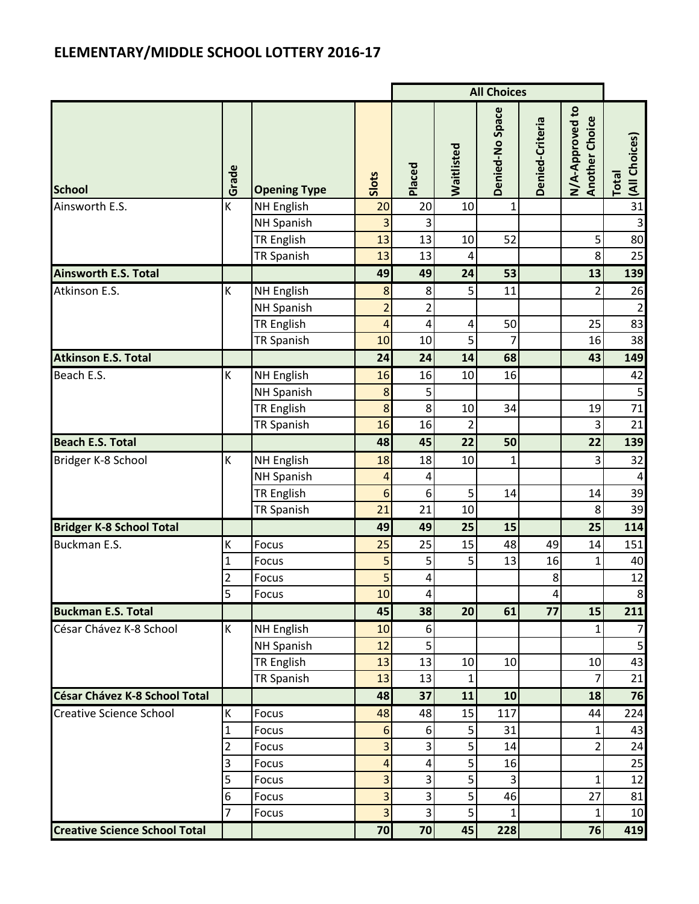|                                      |                |                     |                  | <b>All Choices</b> |                |                 |                 |                                          |                         |
|--------------------------------------|----------------|---------------------|------------------|--------------------|----------------|-----------------|-----------------|------------------------------------------|-------------------------|
| <b>School</b>                        | Grade          | <b>Opening Type</b> | Slots            | Placed             | Waitlisted     | Denied-No Space | Denied-Criteria | N/A-Approved to<br><b>Another Choice</b> | (All Choices)<br>Total  |
| Ainsworth E.S.                       | К              | NH English          | 20               | 20                 | 10             | 1               |                 |                                          | 31                      |
|                                      |                | <b>NH Spanish</b>   | 3                | 3                  |                |                 |                 |                                          | 3                       |
|                                      |                | <b>TR English</b>   | 13               | 13                 | 10             | 52              |                 | 5 <sup>1</sup>                           | 80                      |
|                                      |                | <b>TR Spanish</b>   | 13               | 13                 | 4              |                 |                 | 8 <sup>1</sup>                           | 25                      |
| <b>Ainsworth E.S. Total</b>          |                |                     | 49               | 49                 | 24             | 53              |                 | 13                                       | 139                     |
| Atkinson E.S.                        | К              | NH English          | 8                | 8                  | 5              | 11              |                 | $\overline{2}$                           | 26                      |
|                                      |                | <b>NH Spanish</b>   | $\overline{2}$   | $\overline{2}$     |                |                 |                 |                                          | $\overline{2}$          |
|                                      |                | <b>TR English</b>   | $\overline{4}$   | 4                  | 4              | 50              |                 | 25                                       | 83                      |
|                                      |                | <b>TR Spanish</b>   | 10               | 10                 | 5              | $\overline{7}$  |                 | 16                                       | 38                      |
| <b>Atkinson E.S. Total</b>           |                |                     | 24               | 24                 | 14             | 68              |                 | 43                                       | 149                     |
| Beach E.S.                           | K              | NH English          | 16               | 16                 | 10             | 16              |                 |                                          | 42                      |
|                                      |                | <b>NH Spanish</b>   | 8                | 5                  |                |                 |                 |                                          | 5                       |
|                                      |                | <b>TR English</b>   | $\mathbf{8}$     | 8                  | 10             | 34              |                 | 19                                       | 71                      |
|                                      |                | <b>TR Spanish</b>   | 16               | 16                 | $\overline{2}$ |                 |                 | 3                                        | 21                      |
| <b>Beach E.S. Total</b>              |                |                     | 48               | 45                 | 22             | 50              |                 | 22                                       | 139                     |
| Bridger K-8 School                   | К              | NH English          | 18               | 18                 | 10             | 1               |                 | $\overline{3}$                           | 32                      |
|                                      |                | <b>NH Spanish</b>   | $\overline{4}$   | 4                  |                |                 |                 |                                          | $\overline{\mathbf{r}}$ |
|                                      |                | TR English          | $6 \overline{6}$ | 6                  | 5              | 14              |                 | 14                                       | 39                      |
|                                      |                | <b>TR Spanish</b>   | 21               | 21                 | 10             |                 |                 | 8 <sup>1</sup>                           | 39                      |
| <b>Bridger K-8 School Total</b>      |                |                     | 49               | 49                 | 25             | 15              |                 | 25                                       | 114                     |
| Buckman E.S.                         | Κ              | Focus               | 25               | 25                 | 15             | 48              | 49              | 14                                       | 151                     |
|                                      | 1              | Focus               | 5 <sup>1</sup>   | 5                  | 5              | 13              | 16              | $\mathbf{1}$                             | 40                      |
|                                      | 2              | Focus               | 5 <sup>1</sup>   | 4                  |                |                 | 8               |                                          | 12                      |
|                                      | $\overline{a}$ | Focus               | 10               | 4                  |                |                 | 4               |                                          | $\boldsymbol{8}$        |
| <b>Buckman E.S. Total</b>            |                |                     | 45               | 38                 | 20             | 61              | 77              | 15                                       | 211                     |
| César Chávez K-8 School              | К              | <b>NH English</b>   | 10               | 6                  |                |                 |                 | $1\vert$                                 | 7                       |
|                                      |                | <b>NH Spanish</b>   | 12               | 5                  |                |                 |                 |                                          | 5                       |
|                                      |                | <b>TR English</b>   | 13               | 13                 | 10             | 10              |                 | 10                                       | 43                      |
|                                      |                | <b>TR Spanish</b>   | 13               | 13                 | $\mathbf{1}$   |                 |                 | $\overline{7}$                           | 21                      |
| César Chávez K-8 School Total        |                |                     | 48               | 37                 | 11             | 10              |                 | 18                                       | 76                      |
| <b>Creative Science School</b>       | K              | <b>Focus</b>        | 48               | 48                 | 15             | 117             |                 | 44                                       | 224                     |
|                                      | 1              | Focus               | 6                | 6                  | 5              | 31              |                 | $\mathbf{1}$                             | 43                      |
|                                      | 2              | Focus               | $\overline{3}$   | 3                  | $\overline{5}$ | 14              |                 | $\overline{2}$                           | 24                      |
|                                      | 3              | Focus               | $\overline{4}$   | 4                  | 5              | 16              |                 |                                          | 25                      |
|                                      | 5              | Focus               | 3 <sup>1</sup>   | 3                  | 5 <sup>1</sup> | $\overline{3}$  |                 | 1                                        | 12                      |
|                                      | 6              | Focus               | $\overline{3}$   | 3                  | $\overline{5}$ | 46              |                 | 27                                       | 81                      |
|                                      | 7              | Focus               | $\overline{3}$   | 3                  | 5              | 1               |                 | $\mathbf{1}$                             | 10                      |
| <b>Creative Science School Total</b> |                |                     | 70               | 70                 | 45             | 228             |                 | 76                                       | 419                     |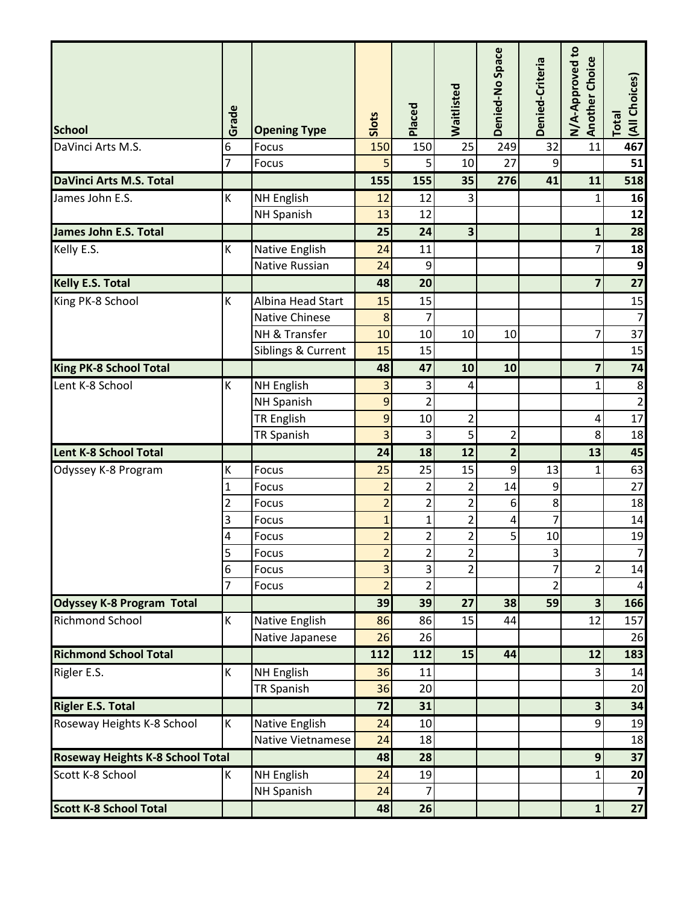| <b>School</b>                    | Grade        | <b>Opening Type</b>   | Slots            | Placed                  | Waitlisted              | Denied-No Space | Denied-Criteria | N/A-Approved to<br><b>Another Choice</b> | (All Choices)<br>Total  |
|----------------------------------|--------------|-----------------------|------------------|-------------------------|-------------------------|-----------------|-----------------|------------------------------------------|-------------------------|
| DaVinci Arts M.S.                | 6            | Focus                 | 150              | 150                     | 25                      | 249             | 32              | 11                                       | 467                     |
|                                  | 7            | Focus                 | 5                | 5                       | 10                      | 27              | $\mathsf{g}$    |                                          | 51                      |
| DaVinci Arts M.S. Total          |              |                       | 155              | 155                     | 35                      | 276             | 41              | 11                                       | 518                     |
| James John E.S.                  | K            | <b>NH English</b>     | 12               | 12                      | $\overline{3}$          |                 |                 | $\mathbf{1}$                             | 16                      |
|                                  |              | <b>NH Spanish</b>     | 13               | 12                      |                         |                 |                 |                                          | 12                      |
| James John E.S. Total            |              |                       | 25               | 24                      | 3                       |                 |                 | $\mathbf{1}$                             | 28                      |
| Kelly E.S.                       | K            | Native English        | 24               | 11                      |                         |                 |                 | 7                                        | 18                      |
|                                  |              | Native Russian        | 24               | 9                       |                         |                 |                 |                                          | $\overline{9}$          |
| <b>Kelly E.S. Total</b>          |              |                       | 48               | 20                      |                         |                 |                 | $\overline{\mathbf{z}}$                  | 27                      |
| King PK-8 School                 | K            | Albina Head Start     | 15               | 15                      |                         |                 |                 |                                          | 15                      |
|                                  |              | <b>Native Chinese</b> | 8                | 7                       |                         |                 |                 |                                          | $\overline{7}$          |
|                                  |              | NH & Transfer         | 10               | 10                      | 10                      | 10              |                 | $\overline{7}$                           | $\overline{37}$         |
|                                  |              | Siblings & Current    | 15               | 15                      |                         |                 |                 |                                          | 15                      |
| King PK-8 School Total           |              |                       | 48               | 47                      | 10                      | 10              |                 | $\overline{\mathbf{z}}$                  | 74                      |
| Lent K-8 School                  | K            | NH English            | 3                | 3                       | $\overline{a}$          |                 |                 | $\mathbf{1}$                             | $\bf 8$                 |
|                                  |              | <b>NH Spanish</b>     | $\overline{9}$   | $\overline{2}$          |                         |                 |                 |                                          | $\overline{2}$          |
|                                  |              | <b>TR English</b>     | $\boldsymbol{9}$ | 10                      | $\overline{c}$          |                 |                 | $\overline{4}$                           | 17                      |
|                                  |              | <b>TR Spanish</b>     | 3                | 3                       | 5                       | 2               |                 | 8                                        | 18                      |
| <b>Lent K-8 School Total</b>     |              |                       | 24               | 18                      | 12                      | $\mathbf{2}$    |                 | 13                                       | 45                      |
| Odyssey K-8 Program              | Κ            | Focus                 | 25               | 25                      | 15                      | $\overline{9}$  | 13              | $\mathbf{1}$                             | 63                      |
|                                  | 1            | Focus                 | $\overline{2}$   | $\overline{2}$          | $\overline{2}$          | 14              | 9               |                                          | 27                      |
|                                  |              | Focus                 | $\overline{2}$   | $\overline{2}$          | $\overline{2}$          | 6               | 8               |                                          | 18                      |
|                                  | 3            | Focus                 | $\mathbf{1}$     | $\overline{1}$          | $\overline{2}$          | 4               | $\overline{7}$  |                                          | 14                      |
|                                  | 4            | Focus                 | $\overline{2}$   | $\overline{\mathbf{c}}$ | $\overline{\mathbf{c}}$ | 5               | 10              |                                          | 19                      |
|                                  | $\mathbf{r}$ | Focus                 | $\overline{2}$   | $\overline{\mathbf{c}}$ | $\overline{2}$          |                 | $\mathbf{a}$    |                                          | $\overline{7}$          |
|                                  | 6            | Focus                 | 3                | 3                       | $\overline{\mathbf{c}}$ |                 | 7               | $\overline{2}$                           | 14                      |
|                                  | 7            | Focus                 | $\overline{2}$   | $\overline{2}$          |                         |                 | $\overline{2}$  |                                          | $\overline{4}$          |
| <b>Odyssey K-8 Program Total</b> |              |                       | 39               | 39                      | 27                      | 38              | 59              | $\vert$ 3                                | 166                     |
| <b>Richmond School</b>           | Κ            | Native English        | 86               | 86                      | 15                      | 44              |                 | 12                                       | 157                     |
|                                  |              | Native Japanese       | 26               | 26                      |                         |                 |                 |                                          | 26                      |
| <b>Richmond School Total</b>     |              |                       | 112              | 112                     | 15                      | 44              |                 | 12                                       | 183                     |
| Rigler E.S.                      | K            | NH English            | 36               | 11                      |                         |                 |                 | $\vert$ 3                                | 14                      |
|                                  |              | TR Spanish            | 36               | 20                      |                         |                 |                 |                                          | 20                      |
| <b>Rigler E.S. Total</b>         |              |                       | 72               | 31                      |                         |                 |                 | $\overline{\mathbf{3}}$                  | 34                      |
| Roseway Heights K-8 School       | К            | Native English        | 24               | 10                      |                         |                 |                 | 9                                        | 19                      |
|                                  |              | Native Vietnamese     | 24               | 18                      |                         |                 |                 |                                          | 18                      |
| Roseway Heights K-8 School Total |              |                       | 48               | 28                      |                         |                 |                 | 9                                        | 37                      |
| Scott K-8 School                 | К            | NH English            | 24               | 19                      |                         |                 |                 | 1                                        | 20                      |
|                                  |              | NH Spanish            | 24               | 7                       |                         |                 |                 |                                          | $\overline{\mathbf{z}}$ |
| <b>Scott K-8 School Total</b>    |              |                       | 48               | 26                      |                         |                 |                 | $\mathbf{1}$                             | 27                      |